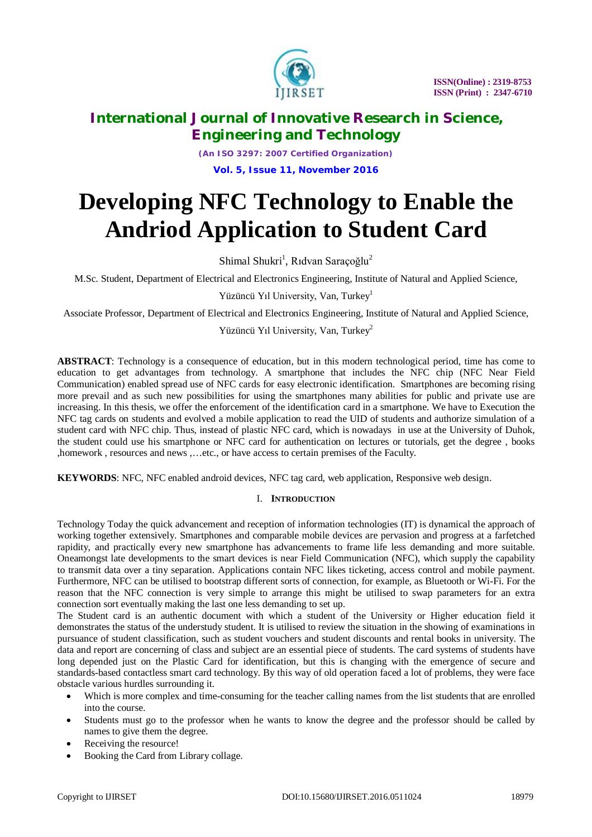

*(An ISO 3297: 2007 Certified Organization)* **Vol. 5, Issue 11, November 2016**

# **Developing NFC Technology to Enable the Andriod Application to Student Card**

Shimal Shukri<sup>1</sup>, Rıdvan Saraçoğlu<sup>2</sup>

M.Sc. Student, Department of Electrical and Electronics Engineering, Institute of Natural and Applied Science,

Yüzüncü Yıl University, Van, Turkey<sup>1</sup>

Associate Professor, Department of Electrical and Electronics Engineering, Institute of Natural and Applied Science,

Yüzüncü Yıl University, Van, Turkey<sup>2</sup>

**ABSTRACT**: Technology is a consequence of education, but in this modern technological period, time has come to education to get advantages from technology. A smartphone that includes the NFC chip (NFC Near Field Communication) enabled spread use of NFC cards for easy electronic identification. Smartphones are becoming rising more prevail and as such new possibilities for using the smartphones many abilities for public and private use are increasing. In this thesis, we offer the enforcement of the identification card in a smartphone. We have to Execution the NFC tag cards on students and evolved a mobile application to read the UID of students and authorize simulation of a student card with NFC chip. Thus, instead of plastic NFC card, which is nowadays in use at the University of Duhok, the student could use his smartphone or NFC card for authentication on lectures or tutorials, get the degree , books ,homework , resources and news ,…etc., or have access to certain premises of the Faculty.

**KEYWORDS**: NFC, NFC enabled android devices, NFC tag card, web application, Responsive web design.

### I. **INTRODUCTION**

Technology Today the quick advancement and reception of information technologies (IT) is dynamical the approach of working together extensively. Smartphones and comparable mobile devices are pervasion and progress at a farfetched rapidity, and practically every new smartphone has advancements to frame life less demanding and more suitable. Oneamongst late developments to the smart devices is near Field Communication (NFC), which supply the capability to transmit data over a tiny separation. Applications contain NFC likes ticketing, access control and mobile payment. Furthermore, NFC can be utilised to bootstrap different sorts of connection, for example, as Bluetooth or Wi-Fi. For the reason that the NFC connection is very simple to arrange this might be utilised to swap parameters for an extra connection sort eventually making the last one less demanding to set up.

The Student card is an authentic document with which a student of the University or Higher education field it demonstrates the status of the understudy student. It is utilised to review the situation in the showing of examinations in pursuance of student classification, such as student vouchers and student discounts and rental books in university. The data and report are concerning of class and subject are an essential piece of students. The card systems of students have long depended just on the Plastic Card for identification, but this is changing with the emergence of secure and standards-based contactless smart card technology. By this way of old operation faced a lot of problems, they were face obstacle various hurdles surrounding it.

- Which is more complex and time-consuming for the teacher calling names from the list students that are enrolled into the course.
- Students must go to the professor when he wants to know the degree and the professor should be called by names to give them the degree.
- Receiving the resource!
- Booking the Card from Library collage.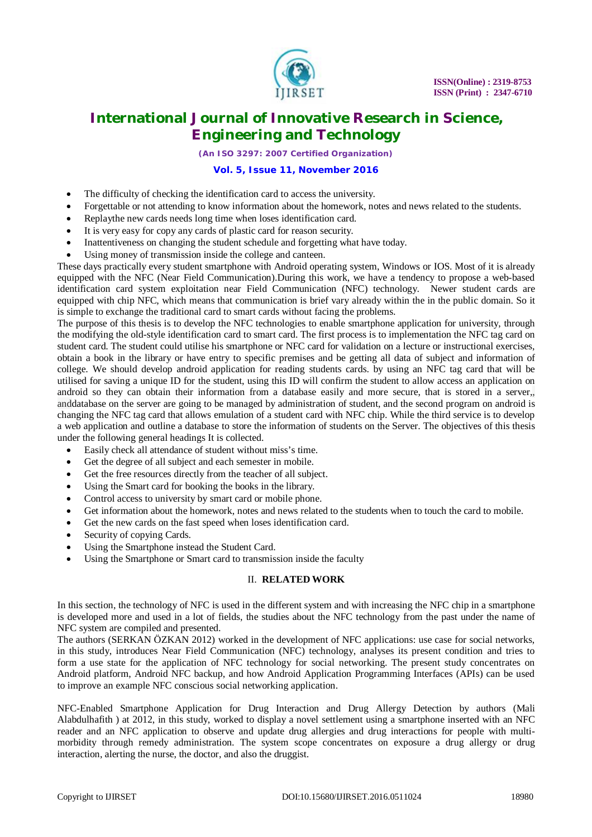

*(An ISO 3297: 2007 Certified Organization)*

### **Vol. 5, Issue 11, November 2016**

- The difficulty of checking the identification card to access the university.
- Forgettable or not attending to know information about the homework, notes and news related to the students.
- Replaythe new cards needs long time when loses identification card.
- It is very easy for copy any cards of plastic card for reason security.
- Inattentiveness on changing the student schedule and forgetting what have today.
- Using money of transmission inside the college and canteen.

These days practically every student smartphone with Android operating system, Windows or IOS. Most of it is already equipped with the NFC (Near Field Communication).During this work, we have a tendency to propose a web-based identification card system exploitation near Field Communication (NFC) technology. Newer student cards are equipped with chip NFC, which means that communication is brief vary already within the in the public domain. So it is simple to exchange the traditional card to smart cards without facing the problems.

The purpose of this thesis is to develop the NFC technologies to enable smartphone application for university, through the modifying the old-style identification card to smart card. The first process is to implementation the NFC tag card on student card. The student could utilise his smartphone or NFC card for validation on a lecture or instructional exercises, obtain a book in the library or have entry to specific premises and be getting all data of subject and information of college. We should develop android application for reading students cards. by using an NFC tag card that will be utilised for saving a unique ID for the student, using this ID will confirm the student to allow access an application on android so they can obtain their information from a database easily and more secure, that is stored in a server,, anddatabase on the server are going to be managed by administration of student, and the second program on android is changing the NFC tag card that allows emulation of a student card with NFC chip. While the third service is to develop a web application and outline a database to store the information of students on the Server. The objectives of this thesis under the following general headings It is collected.

- Easily check all attendance of student without miss's time.
- Get the degree of all subject and each semester in mobile.
- Get the free resources directly from the teacher of all subject.
- Using the Smart card for booking the books in the library.
- Control access to university by smart card or mobile phone.
- Get information about the homework, notes and news related to the students when to touch the card to mobile.
- Get the new cards on the fast speed when loses identification card.
- Security of copying Cards.
- Using the Smartphone instead the Student Card.
- Using the Smartphone or Smart card to transmission inside the faculty

#### II. **RELATED WORK**

In this section, the technology of NFC is used in the different system and with increasing the NFC chip in a smartphone is developed more and used in a lot of fields, the studies about the NFC technology from the past under the name of NFC system are compiled and presented.

The authors (SERKAN ÖZKAN 2012) worked in the development of NFC applications: use case for social networks, in this study, introduces Near Field Communication (NFC) technology, analyses its present condition and tries to form a use state for the application of NFC technology for social networking. The present study concentrates on Android platform, Android NFC backup, and how Android Application Programming Interfaces (APIs) can be used to improve an example NFC conscious social networking application.

NFC-Enabled Smartphone Application for Drug Interaction and Drug Allergy Detection by authors (Mali Alabdulhafith ) at 2012, in this study, worked to display a novel settlement using a smartphone inserted with an NFC reader and an NFC application to observe and update drug allergies and drug interactions for people with multimorbidity through remedy administration. The system scope concentrates on exposure a drug allergy or drug interaction, alerting the nurse, the doctor, and also the druggist.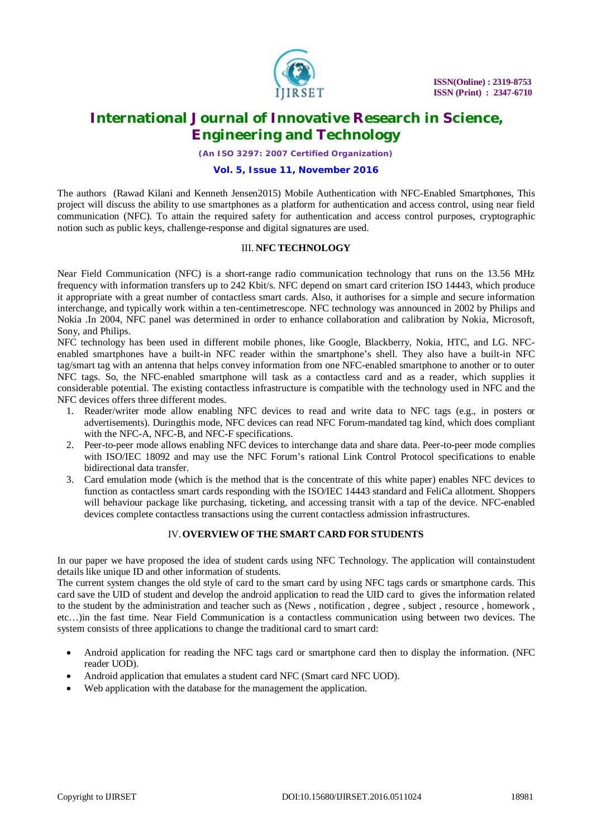

*(An ISO 3297: 2007 Certified Organization)*

#### **Vol. 5, Issue 11, November 2016**

The authors (Rawad Kilani and Kenneth Jensen2015) Mobile Authentication with NFC-Enabled Smartphones, This project will discuss the ability to use smartphones as a platform for authentication and access control, using near field communication (NFC). To attain the required safety for authentication and access control purposes, cryptographic notion such as public keys, challenge-response and digital signatures are used.

#### III. **NFC TECHNOLOGY**

Near Field Communication (NFC) is a short-range radio communication technology that runs on the 13.56 MHz frequency with information transfers up to 242 Kbit/s. NFC depend on smart card criterion ISO 14443, which produce it appropriate with a great number of contactless smart cards. Also, it authorises for a simple and secure information interchange, and typically work within a ten-centimetrescope. NFC technology was announced in 2002 by Philips and Nokia .In 2004, NFC panel was determined in order to enhance collaboration and calibration by Nokia, Microsoft, Sony, and Philips.

NFC technology has been used in different mobile phones, like Google, Blackberry, Nokia, HTC, and LG. NFCenabled smartphones have a built-in NFC reader within the smartphone's shell. They also have a built-in NFC tag/smart tag with an antenna that helps convey information from one NFC-enabled smartphone to another or to outer NFC tags. So, the NFC-enabled smartphone will task as a contactless card and as a reader, which supplies it considerable potential. The existing contactless infrastructure is compatible with the technology used in NFC and the NFC devices offers three different modes.

- 1. Reader/writer mode allow enabling NFC devices to read and write data to NFC tags (e.g., in posters or advertisements). Duringthis mode, NFC devices can read NFC Forum-mandated tag kind, which does compliant with the NFC-A, NFC-B, and NFC-F specifications.
- 2. Peer-to-peer mode allows enabling NFC devices to interchange data and share data. Peer-to-peer mode complies with ISO/IEC 18092 and may use the NFC Forum's rational Link Control Protocol specifications to enable bidirectional data transfer.
- 3. Card emulation mode (which is the method that is the concentrate of this white paper) enables NFC devices to function as contactless smart cards responding with the ISO/IEC 14443 standard and FeliCa allotment. Shoppers will behaviour package like purchasing, ticketing, and accessing transit with a tap of the device. NFC-enabled devices complete contactless transactions using the current contactless admission infrastructures.

### IV.**OVERVIEW OF THE SMART CARD FOR STUDENTS**

In our paper we have proposed the idea of student cards using NFC Technology. The application will containstudent details like unique ID and other information of students.

The current system changes the old style of card to the smart card by using NFC tags cards or smartphone cards. This card save the UID of student and develop the android application to read the UID card to gives the information related to the student by the administration and teacher such as (News , notification , degree , subject , resource , homework , etc…)in the fast time. Near Field Communication is a contactless communication using between two devices. The system consists of three applications to change the traditional card to smart card:

- Android application for reading the NFC tags card or smartphone card then to display the information. (NFC reader UOD).
- Android application that emulates a student card NFC (Smart card NFC UOD).
- Web application with the database for the management the application.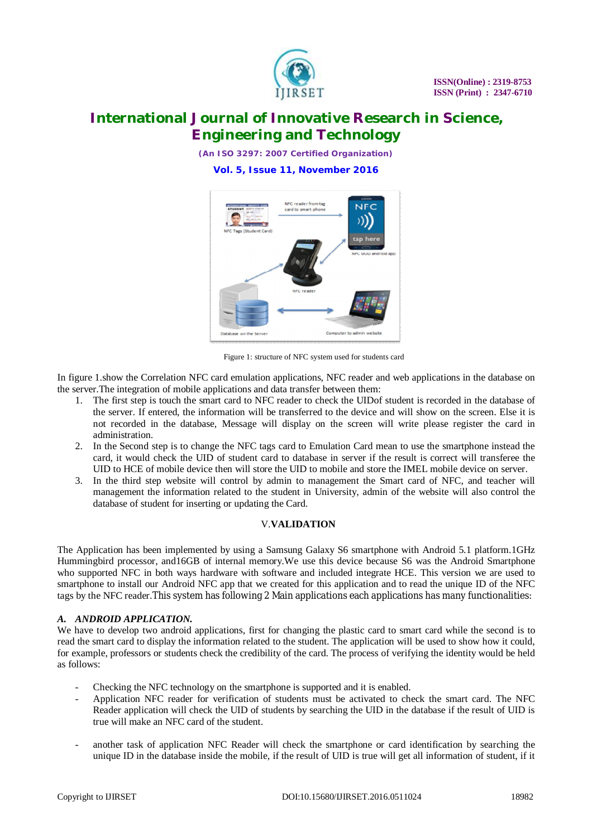

*(An ISO 3297: 2007 Certified Organization)*

**Vol. 5, Issue 11, November 2016**



Figure 1: structure of NFC system used for students card

In figure 1.show the Correlation NFC card emulation applications, NFC reader and web applications in the database on the server.The integration of mobile applications and data transfer between them:

- 1. The first step is touch the smart card to NFC reader to check the UIDof student is recorded in the database of the server. If entered, the information will be transferred to the device and will show on the screen. Else it is not recorded in the database, Message will display on the screen will write please register the card in administration.
- 2. In the Second step is to change the NFC tags card to Emulation Card mean to use the smartphone instead the card, it would check the UID of student card to database in server if the result is correct will transferee the UID to HCE of mobile device then will store the UID to mobile and store the IMEL mobile device on server.
- 3. In the third step website will control by admin to management the Smart card of NFC, and teacher will management the information related to the student in University, admin of the website will also control the database of student for inserting or updating the Card.

#### V.**VALIDATION**

The Application has been implemented by using a Samsung Galaxy S6 smartphone with Android 5.1 platform.1GHz Hummingbird processor, and16GB of internal memory.We use this device because S6 was the Android Smartphone who supported NFC in both ways hardware with software and included integrate HCE. This version we are used to smartphone to install our Android NFC app that we created for this application and to read the unique ID of the NFC tags by the NFC reader.This system has following 2 Main applications each applications has many functionalities:

#### *A. ANDROID APPLICATION.*

We have to develop two android applications, first for changing the plastic card to smart card while the second is to read the smart card to display the information related to the student. The application will be used to show how it could, for example, professors or students check the credibility of the card. The process of verifying the identity would be held as follows:

- Checking the NFC technology on the smartphone is supported and it is enabled.
- Application NFC reader for verification of students must be activated to check the smart card. The NFC Reader application will check the UID of students by searching the UID in the database if the result of UID is true will make an NFC card of the student.
- another task of application NFC Reader will check the smartphone or card identification by searching the unique ID in the database inside the mobile, if the result of UID is true will get all information of student, if it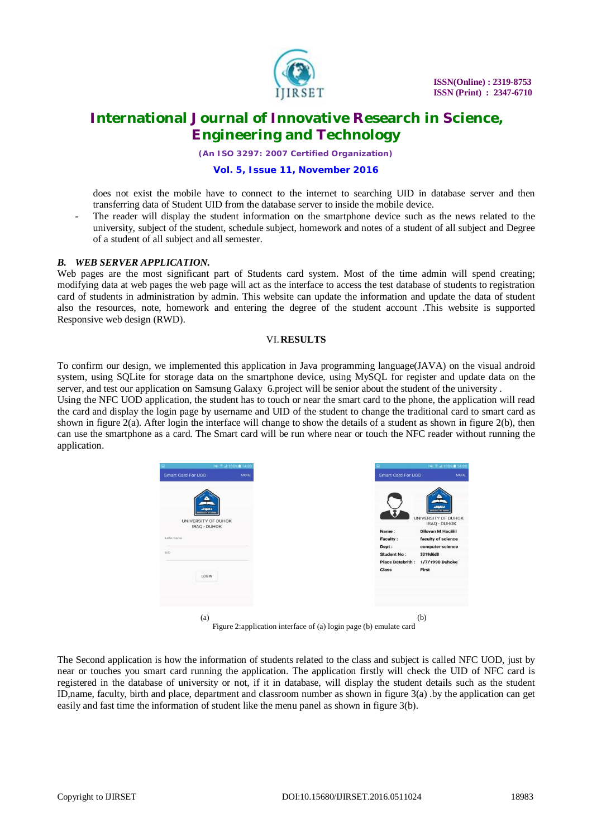

*(An ISO 3297: 2007 Certified Organization)*

#### **Vol. 5, Issue 11, November 2016**

does not exist the mobile have to connect to the internet to searching UID in database server and then transferring data of Student UID from the database server to inside the mobile device.

The reader will display the student information on the smartphone device such as the news related to the university, subject of the student, schedule subject, homework and notes of a student of all subject and Degree of a student of all subject and all semester.

#### *B. WEB SERVER APPLICATION.*

Web pages are the most significant part of Students card system. Most of the time admin will spend creating; modifying data at web pages the web page will act as the interface to access the test database of students to registration card of students in administration by admin. This website can update the information and update the data of student also the resources, note, homework and entering the degree of the student account .This website is supported Responsive web design (RWD).

#### VI.**RESULTS**

To confirm our design, we implemented this application in Java programming language(JAVA) on the visual android system, using SQLite for storage data on the smartphone device, using MySQL for register and update data on the server, and test our application on Samsung Galaxy 6.project will be senior about the student of the university .

Using the NFC UOD application, the student has to touch or near the smart card to the phone, the application will read the card and display the login page by username and UID of the student to change the traditional card to smart card as shown in figure  $2(a)$ . After login the interface will change to show the details of a student as shown in figure  $2(b)$ , then can use the smartphone as a card. The Smart card will be run where near or touch the NFC reader without running the application.



Figure 2:application interface of (a) login page (b) emulate card

The Second application is how the information of students related to the class and subject is called NFC UOD, just by near or touches you smart card running the application. The application firstly will check the UID of NFC card is registered in the database of university or not, if it in database, will display the student details such as the student ID,name, faculty, birth and place, department and classroom number as shown in figure 3(a) .by the application can get easily and fast time the information of student like the menu panel as shown in figure 3(b).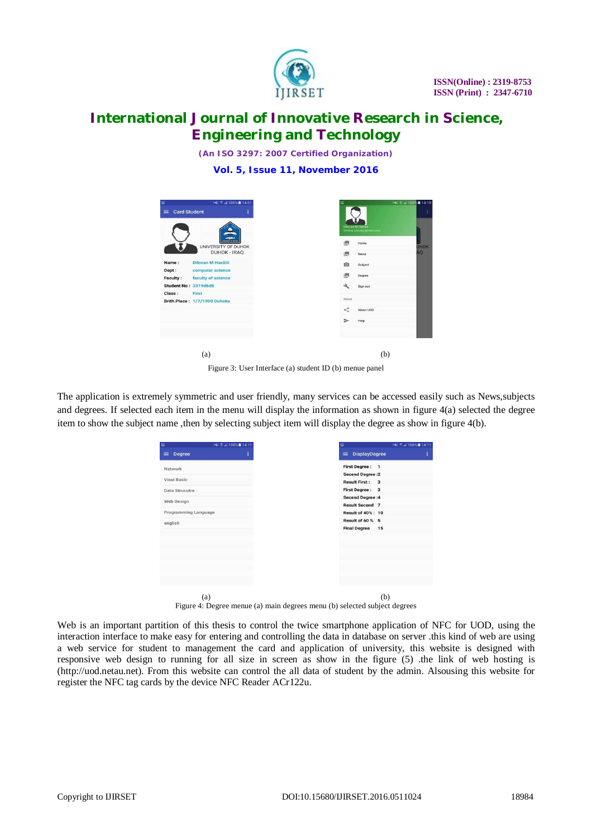

*(An ISO 3297: 2007 Certified Organization)*

**Vol. 5, Issue 11, November 2016**

| $\square$<br><b>Card Student</b><br>$\equiv$ | P41 % at 100% ■ 14:01                                                      | ŧ | Θ             | Dilovan M Hacilii                             |
|----------------------------------------------|----------------------------------------------------------------------------|---|---------------|-----------------------------------------------|
|                                              | anna<br>weeks for an adverse<br>UNIVERSITY OF DUHOK<br><b>DUHOK - IRAQ</b> |   | 图<br>图        | Shimal.sendi@gmail.com<br>Home<br><b>News</b> |
| Name:<br>Dept:<br><b>Faculty:</b>            | <b>Dilovan M Haciliii</b><br>computer science<br>faculty of science        |   | O<br>图        | Subject<br>Degree                             |
| Student No: 3319d6d8<br>Class:               | First                                                                      |   | عد            | Sign out                                      |
|                                              | Brith.Place: 1/7/1990 Duhoke                                               |   | About<br>≺    | About UOD                                     |
|                                              |                                                                            |   | $\Rightarrow$ | Help                                          |
|                                              | (a)                                                                        |   |               | (b)                                           |

Figure 3: User Interface (a) student ID (b) menue panel

The application is extremely symmetric and user friendly, many services can be accessed easily such as News,subjects and degrees. If selected each item in the menu will display the information as shown in figure 4(a) selected the degree item to show the subject name ,then by selecting subject item will display the degree as show in figure 4(b).

|                      | <b>INI 7 at 100% 14:11</b> | INI 7.4 100% 14:11<br>Ξ                         |
|----------------------|----------------------------|-------------------------------------------------|
| Degree               | ŧ                          | <b>DisplayDegree</b><br>$\equiv$                |
| Network              |                            | <b>First Degree:</b><br>$\mathbf{1}$            |
|                      |                            | <b>Secend Degree:2</b>                          |
| <b>Visul Basic</b>   |                            | <b>Result First:</b><br>$\overline{\mathbf{3}}$ |
| Data Strucutre       |                            | <b>First Degree:</b><br>3                       |
|                      |                            | <b>Secend Degree:4</b>                          |
| Web Design           |                            | <b>Result Secend 7</b>                          |
| Programming Language |                            | <b>Result of 40%: 10</b>                        |
| english              |                            | <b>Result of 60 % 5</b>                         |
|                      |                            | <b>Final Degree</b><br>15                       |
|                      |                            |                                                 |
|                      |                            |                                                 |
|                      |                            |                                                 |
|                      |                            |                                                 |
|                      |                            |                                                 |
|                      |                            |                                                 |
|                      |                            |                                                 |
|                      |                            |                                                 |
| (a)                  |                            | (b)                                             |

Figure 4: Degree menue (a) main degrees menu (b) selected subject degrees

Web is an important partition of this thesis to control the twice smartphone application of NFC for UOD, using the interaction interface to make easy for entering and controlling the data in database on server .this kind of web are using a web service for student to management the card and application of university, this website is designed with responsive web design to running for all size in screen as show in the figure (5) .the link of web hosting is ([http://uod.netau.net\).](http://uod.netau.net).) From this website can control the all data of student by the admin. Alsousing this website for register the NFC tag cards by the device NFC Reader ACr122u.